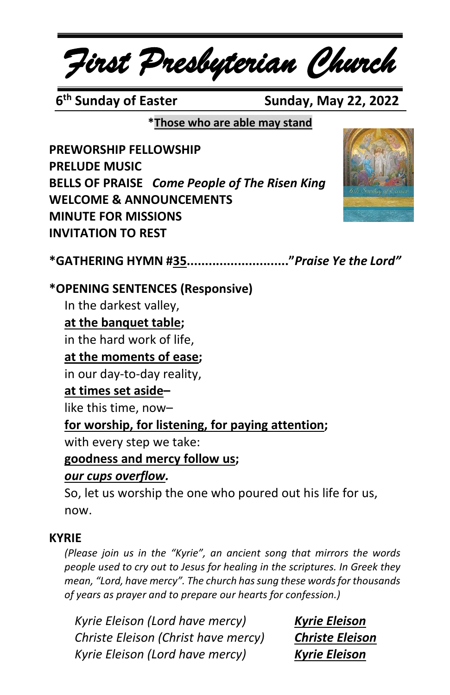# *First Presbyterian Church*

**6<sup>th</sup> Sunday of Easter** 

**Sunday, May 22, 2022** 

**\*Those who are able may stand**

**PREWORSHIP FELLOWSHIP PRELUDE MUSIC BELLS OF PRAISE** *Come People of The Risen King* **WELCOME & ANNOUNCEMENTS MINUTE FOR MISSIONS INVITATION TO REST**



**\*GATHERING HYMN #35............................"***Praise Ye the Lord"*

#### **\*OPENING SENTENCES (Responsive)**

In the darkest valley,

#### **at the banquet table;**

in the hard work of life,

#### **at the moments of ease;**

in our day-to-day reality,

#### **at times set aside–**

like this time, now–

#### **for worship, for listening, for paying attention;**

with every step we take:

#### **goodness and mercy follow us;**

#### *our cups overflow.*

So, let us worship the one who poured out his life for us, now.

#### **KYRIE**

*(Please join us in the "Kyrie", an ancient song that mirrors the words people used to cry out to Jesus for healing in the scriptures. In Greek they mean, "Lord, have mercy". The church has sung these words for thousands of years as prayer and to prepare our hearts for confession.)*

*Kyrie Eleison (Lord have mercy) Kyrie Eleison Christe Eleison (Christ have mercy) Christe Eleison Kyrie Eleison (Lord have mercy) Kyrie Eleison*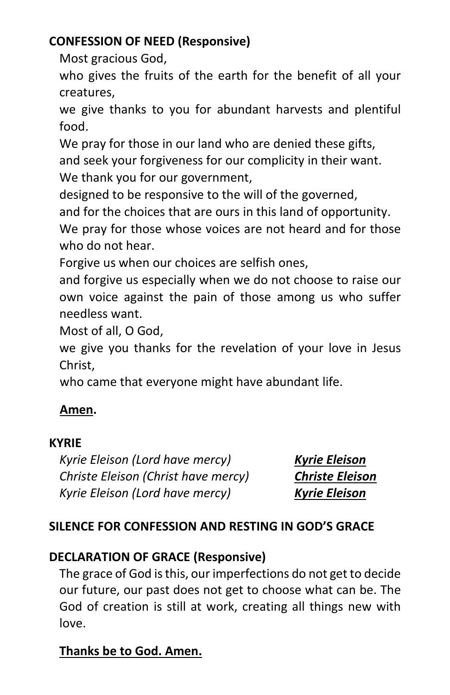#### **CONFESSION OF NEED (Responsive)**

Most gracious God,

who gives the fruits of the earth for the benefit of all your creatures,

we give thanks to you for abundant harvests and plentiful food.

We pray for those in our land who are denied these gifts,

and seek your forgiveness for our complicity in their want. We thank you for our government,

designed to be responsive to the will of the governed,

and for the choices that are ours in this land of opportunity.

We pray for those whose voices are not heard and for those who do not hear.

Forgive us when our choices are selfish ones,

and forgive us especially when we do not choose to raise our own voice against the pain of those among us who suffer needless want.

Most of all, O God,

we give you thanks for the revelation of your love in Jesus Christ,

who came that everyone might have abundant life.

#### **Amen.**

#### **KYRIE**

*Kyrie Eleison (Lord have mercy) Kyrie Eleison Christe Eleison (Christ have mercy) Christe Eleison Kyrie Eleison (Lord have mercy) Kyrie Eleison*

#### **SILENCE FOR CONFESSION AND RESTING IN GOD'S GRACE**

#### **DECLARATION OF GRACE (Responsive)**

The grace of God isthis, our imperfections do not get to decide our future, our past does not get to choose what can be. The God of creation is still at work, creating all things new with love.

#### **Thanks be to God. Amen.**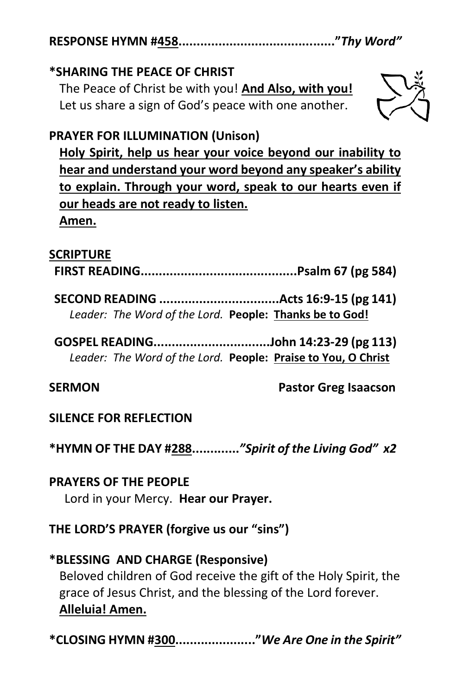**RESPONSE HYMN #458..........................................."***Thy Word"*

#### **\*SHARING THE PEACE OF CHRIST**

The Peace of Christ be with you! **And Also, with you!** Let us share a sign of God's peace with one another.



#### **PRAYER FOR ILLUMINATION (Unison)**

**Holy Spirit, help us hear your voice beyond our inability to hear and understand your word beyond any speaker's ability to explain. Through your word, speak to our hearts even if our heads are not ready to listen. Amen.**

#### **SCRIPTURE**

**FIRST READING...........................................Psalm 67 (pg 584)**

**SECOND READING .................................Acts 16:9-15 (pg 141)** *Leader: The Word of the Lord.* **People: Thanks be to God!**

**GOSPEL READING................................John 14:23-29 (pg 113)** *Leader: The Word of the Lord.* **People: Praise to You, O Christ**

**SERMON Pastor Greg Isaacson**

#### **SILENCE FOR REFLECTION**

**\*HYMN OF THE DAY #288.............***"Spirit of the Living God" x2*

**PRAYERS OF THE PEOPLE** Lord in your Mercy. **Hear our Prayer.**

**THE LORD'S PRAYER (forgive us our "sins")**

**\*BLESSING AND CHARGE (Responsive)** Beloved children of God receive the gift of the Holy Spirit, the grace of Jesus Christ, and the blessing of the Lord forever. **Alleluia! Amen.**

**\*CLOSING HYMN #300......................"***We Are One in the Spirit"*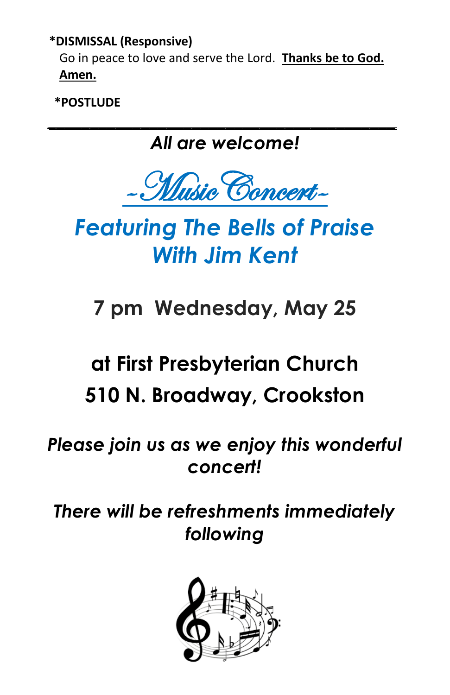#### **\*DISMISSAL (Responsive)**

Go in peace to love and serve the Lord. **Thanks be to God. Amen.**

**\*POSTLUDE**

### *\_\_\_\_\_\_\_\_\_\_\_\_\_\_\_\_\_\_\_\_\_\_\_\_\_\_\_\_\_\_\_\_\_\_\_\_\_\_\_\_\_ All are welcome!*



## *Featuring The Bells of Praise With Jim Kent*

## **7 pm Wednesday, May 25**

### **at First Presbyterian Church**

### **510 N. Broadway, Crookston**

### *Please join us as we enjoy this wonderful concert!*

### *There will be refreshments immediately following*